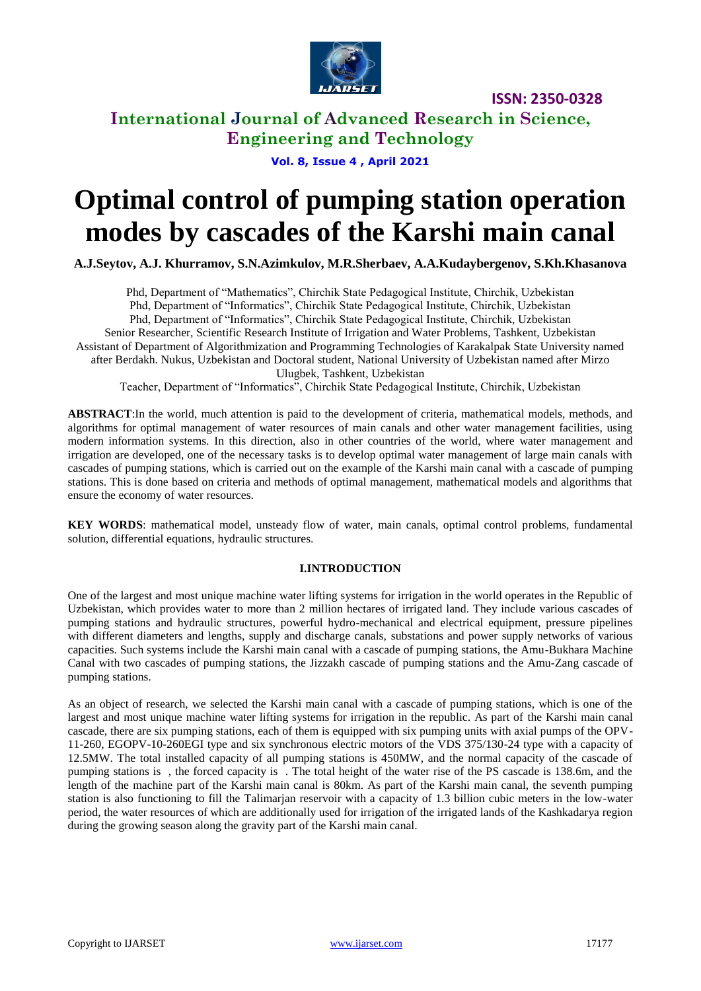

### **International Journal of Advanced Research in Science, Engineering and Technology**

**Vol. 8, Issue 4 , April 2021**

# **Optimal control of pumping station operation modes by cascades of the Karshi main canal**

**A.J.Seytov, A.J. Khurramov, S.N.Azimkulov, M.R.Sherbaev, A.A.Kudaybergenov, S.Kh.Khasanova**

Phd, Department of "Mathematics", Chirchik State Pedagogical Institute, Chirchik, Uzbekistan Phd, Department of "Informatics", Chirchik State Pedagogical Institute, Chirchik, Uzbekistan Phd, Department of "Informatics", Chirchik State Pedagogical Institute, Chirchik, Uzbekistan Senior Researcher, Scientific Research Institute of Irrigation and Water Problems, Tashkent, Uzbekistan Assistant of Department of Algorithmization and Programming Technologies of Karakalpak State University named after Berdakh. Nukus, Uzbekistan and Doctoral student, National University of Uzbekistan named after Mirzo Ulugbek, Tashkent, Uzbekistan Teacher, Department of "Informatics", Chirchik State Pedagogical Institute, Chirchik, Uzbekistan

**ABSTRACT**:In the world, much attention is paid to the development of criteria, mathematical models, methods, and algorithms for optimal management of water resources of main canals and other water management facilities, using modern information systems. In this direction, also in other countries of the world, where water management and irrigation are developed, one of the necessary tasks is to develop optimal water management of large main canals with cascades of pumping stations, which is carried out on the example of the Karshi main canal with a cascade of pumping stations. This is done based on criteria and methods of optimal management, mathematical models and algorithms that ensure the economy of water resources.

**KEY WORDS**: mathematical model, unsteady flow of water, main canals, optimal control problems, fundamental solution, differential equations, hydraulic structures.

#### **I.INTRODUCTION**

One of the largest and most unique machine water lifting systems for irrigation in the world operates in the Republic of Uzbekistan, which provides water to more than 2 million hectares of irrigated land. They include various cascades of pumping stations and hydraulic structures, powerful hydro-mechanical and electrical equipment, pressure pipelines with different diameters and lengths, supply and discharge canals, substations and power supply networks of various capacities. Such systems include the Karshi main canal with a cascade of pumping stations, the Amu-Bukhara Machine Canal with two cascades of pumping stations, the Jizzakh cascade of pumping stations and the Amu-Zang cascade of pumping stations.

As an object of research, we selected the Karshi main canal with a cascade of pumping stations, which is one of the largest and most unique machine water lifting systems for irrigation in the republic. As part of the Karshi main canal cascade, there are six pumping stations, each of them is equipped with six pumping units with axial pumps of the OPV-11-260, EGOPV-10-260EGI type and six synchronous electric motors of the VDS 375/130-24 type with a capacity of 12.5MW. The total installed capacity of all pumping stations is 450MW, and the normal capacity of the cascade of pumping stations is , the forced capacity is . The total height of the water rise of the PS cascade is 138.6m, and the length of the machine part of the Karshi main canal is 80km. As part of the Karshi main canal, the seventh pumping station is also functioning to fill the Talimarjan reservoir with a capacity of 1.3 billion cubic meters in the low-water period, the water resources of which are additionally used for irrigation of the irrigated lands of the Kashkadarya region during the growing season along the gravity part of the Karshi main canal.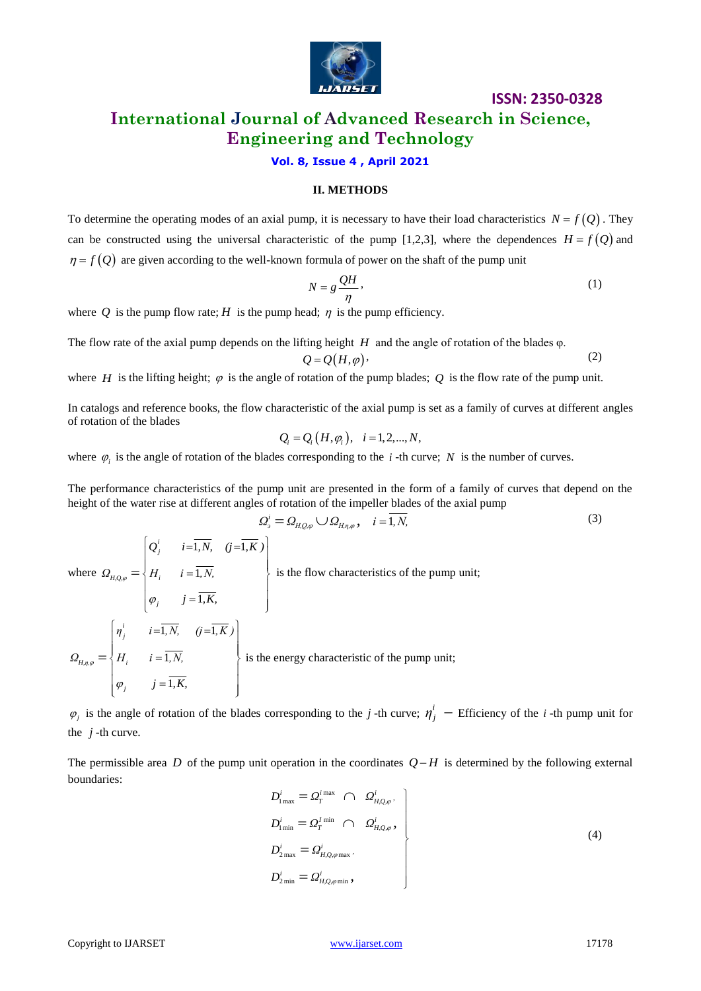

# **International Journal of Advanced Research in Science, Engineering and Technology**

#### **Vol. 8, Issue 4 , April 2021**

#### **II. METHODS**

To determine the operating modes of an axial pump, it is necessary to have their load characteristics  $N = f(Q)$ . They can be constructed using the universal characteristic of the pump [1,2,3], where the dependences  $H = f(Q)$  and  $\eta = f(Q)$  are given according to the well-known formula of power on the shaft of the pump unit

$$
N = g \frac{QH}{\eta},
$$
 (1)

where Q is the pump flow rate; H is the pump head;  $\eta$  is the pump efficiency.

The flow rate of the axial pump depends on the lifting height *H* and the angle of rotation of the blades φ.

$$
Q = Q(H, \varphi) \tag{2}
$$

where *H* is the lifting height;  $\varphi$  is the angle of rotation of the pump blades; Q is the flow rate of the pump unit.

In catalogs and reference books, the flow characteristic of the axial pump is set as a family of curves at different angles of rotation of the blades

$$
Q_i = Q_i(H, \varphi_i), \quad i = 1, 2, ..., N,
$$

where  $\varphi_i$  is the angle of rotation of the blades corresponding to the *i*-th curve; N is the number of curves.

The performance characteristics of the pump unit are presented in the form of a family of curves that depend on the

height of the water rise at different angles of rotation of the impeller blades of the axial pump  
\n
$$
\Omega_{j}^{i} = \Omega_{H,Q,\varphi} \cup \Omega_{H,\eta,\varphi}, \quad i = \overline{1, N},
$$
\nwhere  $\Omega_{H,Q,\varphi} = \begin{cases} Q_{j}^{i} & i = \overline{1, N}, (j = \overline{1, K}) \\ H_{i} & i = \overline{1, N}, \\ \varphi_{j} & j = \overline{1, K}, \end{cases}$  is the flow characteristics of the pump unit;  
\n
$$
\Omega_{H,\eta,\varphi} = \begin{cases} \eta_{j}^{i} & i = \overline{1, N}, (j = \overline{1, K}) \\ H_{i} & i = \overline{1, N}, \\ \varphi_{j} & j = \overline{1, K}, \end{cases}
$$
 is the energy characteristic of the pump unit;

 $\varphi_j$  is the angle of rotation of the blades corresponding to the *j*-th curve;  $\eta_j^i$  – Efficiency of the *i*-th pump unit for the  $j$ -th curve.

The permissible area  $D$  of the pump unit operation in the coordinates  $Q-H$  is determined by the following external boundaries:

$$
D_{1\min}^i = \Omega_T^{i\max} \cap \Omega_{H,Q,\varphi}^i,
$$
  
\n
$$
D_{1\min}^i = \Omega_T^{i\min} \cap \Omega_{H,Q,\varphi}^i,
$$
  
\n
$$
D_{2\max}^i = \Omega_{H,Q,\varphi\max}^i,
$$
  
\n
$$
D_{2\min}^i = \Omega_{H,Q,\varphi\min}^i,
$$
\n(4)

(3)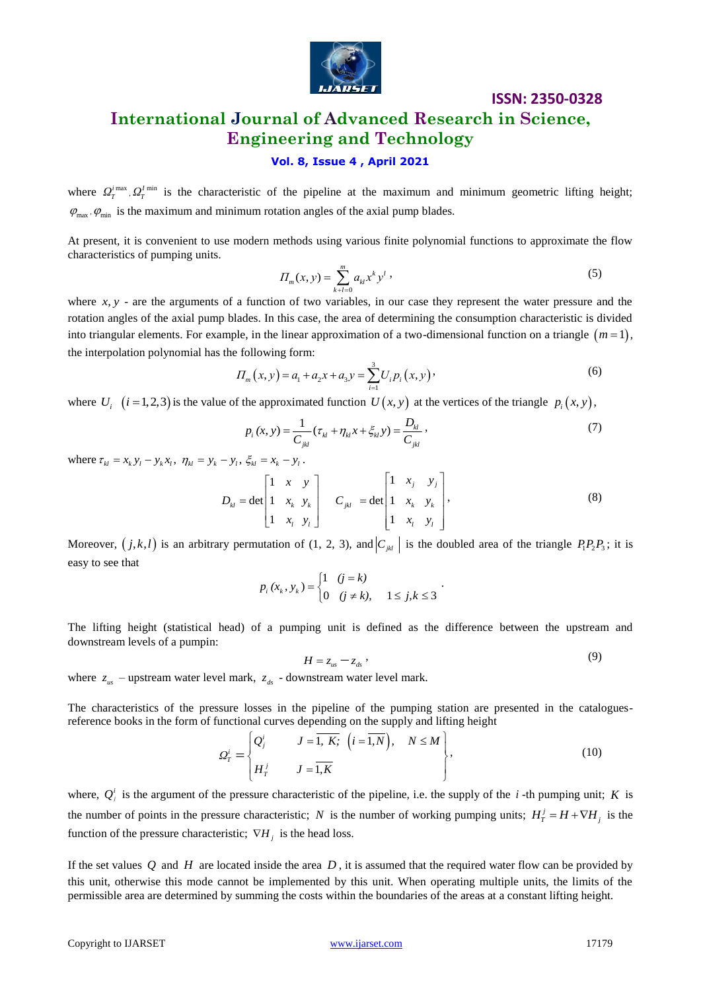

# **ISSN: 2350-0328 International Journal of Advanced Research in Science, Engineering and Technology**

### **Vol. 8, Issue 4 , April 2021**

where  $Q_T^{i_{\text{max}}}$ ,  $Q_T^{i_{\text{min}}}$  is the characteristic of the pipeline at the maximum and minimum geometric lifting height;  $\varphi_{\text{max}}$ ,  $\varphi_{\text{min}}$  is the maximum and minimum rotation angles of the axial pump blades.

At present, it is convenient to use modern methods using various finite polynomial functions to approximate the flow characteristics of pumping units.

$$
\Pi_m(x, y) = \sum_{k+l=0}^m a_{kl} x^k y^l \tag{5}
$$

where  $x, y$  - are the arguments of a function of two variables, in our case they represent the water pressure and the rotation angles of the axial pump blades. In this case, the area of determining the consumption characteristic is divided into triangular elements. For example, in the linear approximation of a two-dimensional function on a triangle  $(m=1)$ , the interpolation polynomial has the following form:

$$
H_m(x, y) = a_1 + a_2 x + a_3 y = \sum_{i=1}^{3} U_i p_i(x, y)
$$
 (6)

where  $U_i$   $(i = 1, 2, 3)$  is the value of the approximated function  $U(x, y)$  at the vertices of the triangle  $p_i(x, y)$ ,

$$
p_i(x, y) = \frac{1}{C_{jkl}} (\tau_{kl} + \eta_{kl} x + \xi_{kl} y) = \frac{D_{kl}}{C_{jkl}} ,
$$
 (7)

where  $\tau_{kl} = x_k y_l - y_k x_l$ ,  $\eta_{kl} = y_k - y_l$ ,  $\xi_{kl} = x_k - y_l$ .

$$
- y_{i}, \zeta_{kl} = x_{k} - y_{l}. \nD_{kl} = \det \begin{bmatrix} 1 & x & y \\ 1 & x_{k} & y_{k} \\ 1 & x_{l} & y_{l} \end{bmatrix} \quad C_{jkl} = \det \begin{bmatrix} 1 & x_{j} & y_{j} \\ 1 & x_{k} & y_{k} \\ 1 & x_{l} & y_{l} \end{bmatrix},
$$
\n(8)

Moreover,  $(j, k, l)$  is an arbitrary permutation of (1, 2, 3), and  $|C_{jkl}|$  is the doubled area of the triangle  $P_1P_2P_3$ ; it is easy to see that

$$
p_i(x_k, y_k) = \begin{cases} 1 & (j = k) \\ 0 & (j \neq k), \quad 1 \leq j, k \leq 3 \end{cases}.
$$

The lifting height (statistical head) of a pumping unit is defined as the difference between the upstream and downstream levels of a pumpin:

$$
H = z_{us} - z_{ds} \t\t(9)
$$

where  $z_{us}$  – upstream water level mark,  $z_{ds}$  - downstream water level mark.

The characteristics of the pressure losses in the pipeline of the pumping station are presented in the catalogues-

reference books in the form of functional curves depending on the supply and lifting height  
\n
$$
\Omega_T^i = \begin{cases}\nQ_j^i & J = \overline{1, K}; \quad (i = \overline{1, N}), \quad N \le M \\
H_T^j & J = \overline{1, K}\n\end{cases}, \qquad (10)
$$

where,  $Q_i^i$  is the argument of the pressure characteristic of the pipeline, i.e. the supply of the *i*-th pumping unit; K is the number of points in the pressure characteristic; N is the number of working pumping units;  $H_T^j = H + \nabla H_j$  is the function of the pressure characteristic;  $\nabla H_j$  is the head loss.

If the set values  $Q$  and  $H$  are located inside the area  $D$ , it is assumed that the required water flow can be provided by this unit, otherwise this mode cannot be implemented by this unit. When operating multiple units, the limits of the permissible area are determined by summing the costs within the boundaries of the areas at a constant lifting height.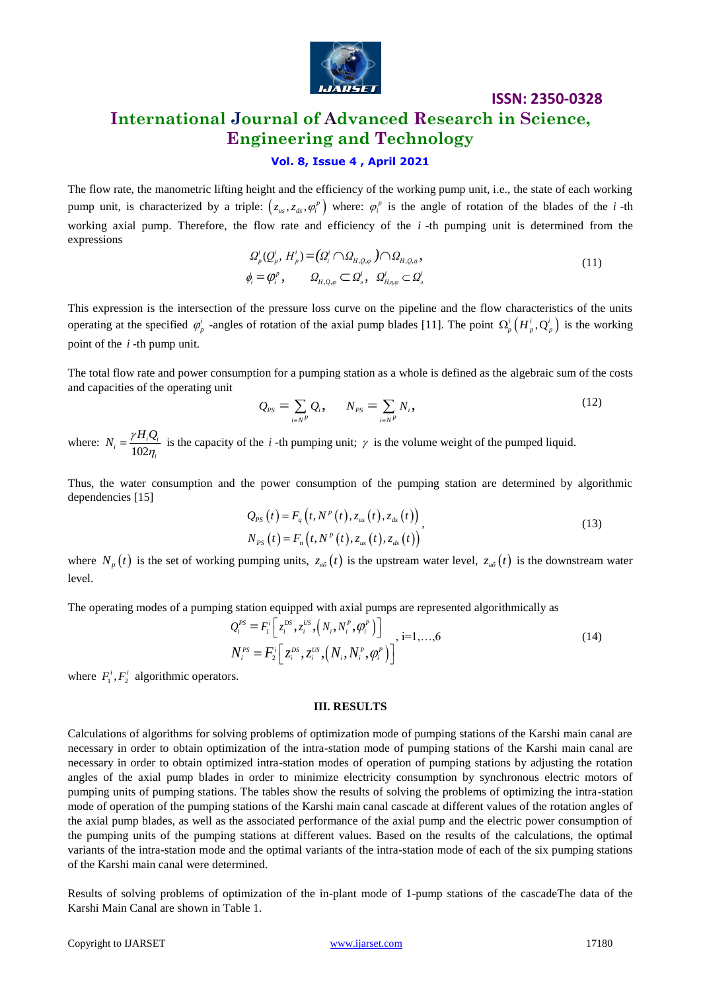

# **International Journal of Advanced Research in Science, Engineering and Technology**

#### **Vol. 8, Issue 4 , April 2021**

The flow rate, the manometric lifting height and the efficiency of the working pump unit, i.e., the state of each working pump unit, is characterized by a triple:  $(z_{us}, z_{ds}, \varphi_i^p)$  where:  $\varphi_i^p$  is the angle of rotation of the blades of the *i*-th working axial pump. Therefore, the flow rate and efficiency of the *i*-th pumping unit is determined from the expressions

$$
\mathcal{Q}_p^i(Q_p^i, H_p^i) = (\mathcal{Q}_i^i \cap \mathcal{Q}_{H,Q,\varphi}) \cap \mathcal{Q}_{H,Q,\eta},
$$
\n
$$
\phi_i = \varphi_i^p, \qquad \mathcal{Q}_{H,Q,\varphi} \subset \mathcal{Q}_s^i, \quad \mathcal{Q}_{H,\eta,\varphi}^i \subset \mathcal{Q}_s^i
$$
\n(11)

This expression is the intersection of the pressure loss curve on the pipeline and the flow characteristics of the units operating at the specified  $\varphi_p^i$  -angles of rotation of the axial pump blades [11]. The point  $\Omega_p^i(H_p^i, Q_p^i)$  is the working point of the *i* -th pump unit.

The total flow rate and power consumption for a pumping station as a whole is defined as the algebraic sum of the costs and capacities of the operating unit

$$
Q_{PS} = \sum_{i \in N^P} Q_i, \qquad N_{PS} = \sum_{i \in N^P} N_i,
$$
 (12)

where:  $N_i = \frac{N_i}{102}$  $\eta_i = \frac{I^{\prime} H_i Q_i}{102 \eta_i}$  $N_i = \frac{\gamma H_i Q_i}{\gamma H_i}$ 'n  $=\frac{f^{i}f^{j}}{f^{j}f^{j}}$  is the capacity of the *i* -th pumping unit;  $\gamma$  is the volume weight of the pumped liquid.

Thus, the water consumption and the power consumption of the pumping station are determined by algorithmic dependencies [15]

$$
Q_{PS}(t) = F_q(t, N^p(t), z_{us}(t), z_{ds}(t))
$$
  
\n
$$
N_{PS}(t) = F_n(t, N^p(t), z_{us}(t), z_{ds}(t))
$$
\n(13)

where  $N_p(t)$  is the set of working pumping units,  $z_{\epsilon\delta}(t)$  is the upstream water level,  $z_{\mu\delta}(t)$  is the downstream water level.

The operating modes of a pumping station equipped with axial pumps are represented algorithmically as  
\n
$$
Q_i^{PS} = F_i^i \left[ z_i^{DS}, z_i^{US}, \left( N_i, N_i^P, \phi_i^P \right) \right]_{i=1,...,6}
$$
\n
$$
N_i^{PS} = F_i^i \left[ z_i^{DS}, z_i^{US}, \left( N_i, N_i^P, \phi_i^P \right) \right]
$$
\n(14)

where  $F_1^i$ ,  $F_2^i$  algorithmic operators.

#### **III. RESULTS**

Calculations of algorithms for solving problems of optimization mode of pumping stations of the Karshi main canal are necessary in order to obtain optimization of the intra-station mode of pumping stations of the Karshi main canal are necessary in order to obtain optimized intra-station modes of operation of pumping stations by adjusting the rotation angles of the axial pump blades in order to minimize electricity consumption by synchronous electric motors of pumping units of pumping stations. The tables show the results of solving the problems of optimizing the intra-station mode of operation of the pumping stations of the Karshi main canal cascade at different values of the rotation angles of the axial pump blades, as well as the associated performance of the axial pump and the electric power consumption of the pumping units of the pumping stations at different values. Based on the results of the calculations, the optimal variants of the intra-station mode and the optimal variants of the intra-station mode of each of the six pumping stations of the Karshi main canal were determined.

Results of solving problems of optimization of the in-plant mode of 1-pump stations of the cascadeThe data of the Karshi Main Canal are shown in Table 1.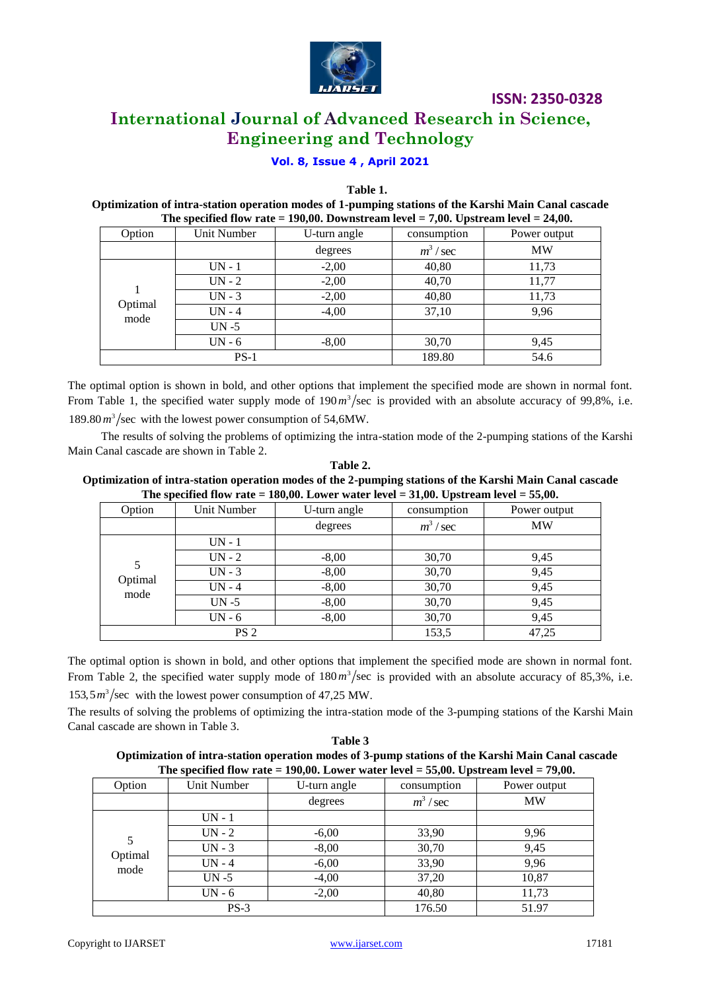

**International Journal of Advanced Research in Science, Engineering and Technology**

#### **Vol. 8, Issue 4 , April 2021**

**Table 1.**

**Optimization of intra-station operation modes of 1-pumping stations of the Karshi Main Canal cascade The specified flow rate = 190,00. Downstream level = 7,00. Upstream level = 24,00.**

|                 | .           |              |             |              |  |
|-----------------|-------------|--------------|-------------|--------------|--|
| Option          | Unit Number | U-turn angle | consumption | Power output |  |
|                 |             | degrees      | $m^3$ / sec | <b>MW</b>    |  |
| Optimal<br>mode | $UN - 1$    | $-2,00$      | 40,80       | 11,73        |  |
|                 | $UN - 2$    | $-2,00$      | 40,70       | 11,77        |  |
|                 | $UN - 3$    | $-2,00$      | 40,80       | 11,73        |  |
|                 | $UN - 4$    | $-4,00$      | 37,10       | 9,96         |  |
|                 | $UN - 5$    |              |             |              |  |
|                 | $UN - 6$    | $-8,00$      | 30,70       | 9,45         |  |
| $PS-1$          |             |              | 189.80      | 54.6         |  |

The optimal option is shown in bold, and other options that implement the specified mode are shown in normal font. From Table 1, the specified water supply mode of  $190 \frac{m^3}{\sec}$  is provided with an absolute accuracy of 99,8%, i.e.  $189.80 \frac{m^3}{\text{sec}}$  with the lowest power consumption of 54,6MW.

The results of solving the problems of optimizing the intra-station mode of the 2-pumping stations of the Karshi Main Canal cascade are shown in Table 2.

#### **Table 2. Optimization of intra-station operation modes of the 2-pumping stations of the Karshi Main Canal cascade The specified flow rate = 180,00. Lower water level = 31,00. Upstream level = 55,00.**

|                      |             |              | $\overline{\phantom{a}}$ |              |
|----------------------|-------------|--------------|--------------------------|--------------|
| Option               | Unit Number | U-turn angle | consumption              | Power output |
|                      |             | degrees      | $m^3$ / sec              | <b>MW</b>    |
| 5<br>Optimal<br>mode | $UN - 1$    |              |                          |              |
|                      | $UN - 2$    | $-8,00$      | 30,70                    | 9,45         |
|                      | $UN - 3$    | $-8,00$      | 30,70                    | 9,45         |
|                      | $UN - 4$    | $-8,00$      | 30,70                    | 9,45         |
|                      | $UN - 5$    | $-8,00$      | 30,70                    | 9,45         |
|                      | $UN - 6$    | $-8,00$      | 30,70                    | 9,45         |
| PS <sub>2</sub>      |             |              | 153,5                    | 47,25        |

The optimal option is shown in bold, and other options that implement the specified mode are shown in normal font. From Table 2, the specified water supply mode of  $180 \frac{m^3}{\text{sec}}$  is provided with an absolute accuracy of 85,3%, i.e.

 $153.5 \frac{m^3}{\text{sec}}$  with the lowest power consumption of 47,25 MW.

The results of solving the problems of optimizing the intra-station mode of the 3-pumping stations of the Karshi Main Canal cascade are shown in Table 3.

**Table 3 Optimization of intra-station operation modes of 3-pump stations of the Karshi Main Canal cascade The specified flow rate = 190,00. Lower water level = 55,00. Upstream level = 79,00.**

| Option          | The specifical from $1000 - 120000$ from $1000$ for $1000 - 20000$ exposed $0.0000$<br>Unit Number | U-turn angle | consumption | Power output |
|-----------------|----------------------------------------------------------------------------------------------------|--------------|-------------|--------------|
|                 |                                                                                                    | degrees      | $m^3$ / sec | <b>MW</b>    |
|                 | $UN - 1$                                                                                           |              |             |              |
|                 | $UN - 2$                                                                                           | $-6,00$      | 33,90       | 9,96         |
|                 | $UN - 3$                                                                                           | $-8,00$      | 30,70       | 9,45         |
| Optimal<br>mode | $UN - 4$                                                                                           | $-6,00$      | 33,90       | 9,96         |
|                 | $UN - 5$                                                                                           | $-4,00$      | 37,20       | 10,87        |
|                 | $UN - 6$                                                                                           | $-2,00$      | 40,80       | 11,73        |
| $PS-3$          |                                                                                                    |              | 176.50      | 51.97        |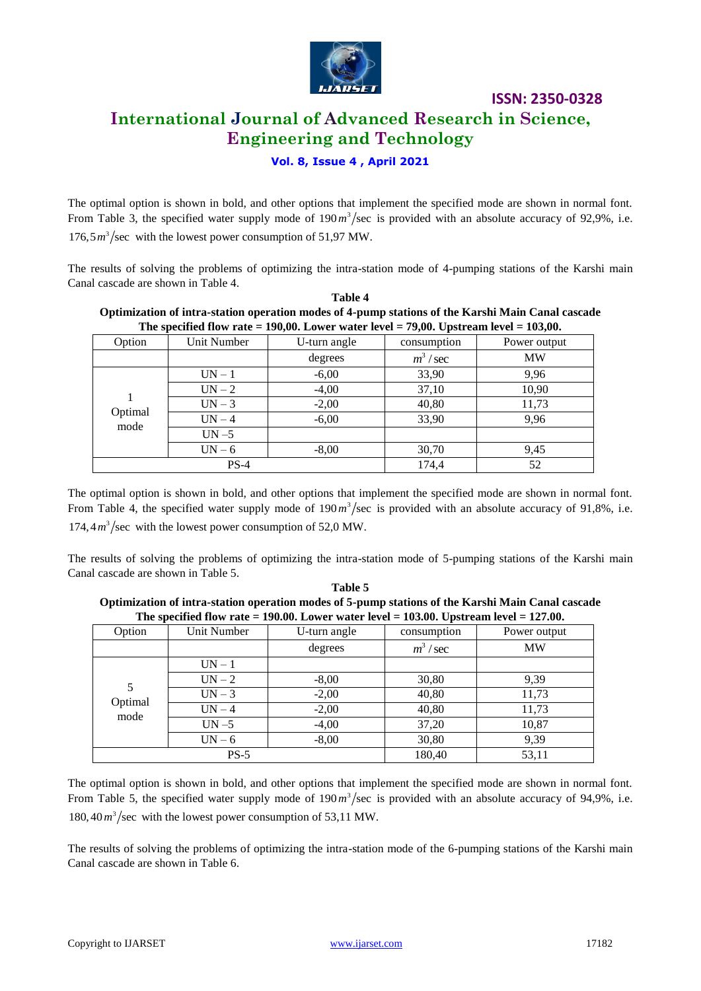

# **International Journal of Advanced Research in Science, Engineering and Technology**

#### **Vol. 8, Issue 4 , April 2021**

The optimal option is shown in bold, and other options that implement the specified mode are shown in normal font. From Table 3, the specified water supply mode of  $190 \frac{m^3}{\text{sec}}$  is provided with an absolute accuracy of 92,9%, i.e.  $176.5 m<sup>3</sup>/sec$  with the lowest power consumption of 51,97 MW.

The results of solving the problems of optimizing the intra-station mode of 4-pumping stations of the Karshi main Canal cascade are shown in Table 4. **Table 4**

| Optimization of intra-station operation modes of 4-pump stations of the Karshi Main Canal cascade |             |              |             |              |  |
|---------------------------------------------------------------------------------------------------|-------------|--------------|-------------|--------------|--|
| The specified flow rate $= 190,00$ . Lower water level $= 79,00$ . Upstream level $= 103,00$ .    |             |              |             |              |  |
| Option                                                                                            | Unit Number | U-turn angle | consumption | Power output |  |
|                                                                                                   |             |              |             |              |  |

| Option          | Unit Number | U-turn angle | consumption | Power output |
|-----------------|-------------|--------------|-------------|--------------|
|                 |             | degrees      | $m^3$ / sec | <b>MW</b>    |
| Optimal<br>mode | $UN - 1$    | $-6,00$      | 33,90       | 9,96         |
|                 | $UN - 2$    | $-4,00$      | 37,10       | 10,90        |
|                 | $UN-3$      | $-2,00$      | 40,80       | 11,73        |
|                 | $UN-4$      | $-6,00$      | 33,90       | 9,96         |
|                 | $UN - 5$    |              |             |              |
|                 | $UN - 6$    | $-8,00$      | 30,70       | 9,45         |
| $PS-4$          |             |              | 174,4       | 52           |

The optimal option is shown in bold, and other options that implement the specified mode are shown in normal font. From Table 4, the specified water supply mode of  $190 \frac{m^3}{\text{sec}}$  is provided with an absolute accuracy of 91,8%, i.e.  $174, 4 m<sup>3</sup>/sec$  with the lowest power consumption of 52,0 MW.

The results of solving the problems of optimizing the intra-station mode of 5-pumping stations of the Karshi main Canal cascade are shown in Table 5. **Table 5** 

| Table 5                                                                                           |
|---------------------------------------------------------------------------------------------------|
| Optimization of intra-station operation modes of 5-pump stations of the Karshi Main Canal cascade |
| The specified flow rate $= 190.00$ . Lower water level $= 103.00$ . Upstream level $= 127.00$ .   |

| Option               | Unit Number | U-turn angle | consumption | Power output |
|----------------------|-------------|--------------|-------------|--------------|
|                      |             | degrees      | $m^3$ / sec | <b>MW</b>    |
| 5<br>Optimal<br>mode | $UN - 1$    |              |             |              |
|                      | $UN - 2$    | $-8,00$      | 30,80       | 9,39         |
|                      | $UN-3$      | $-2,00$      | 40,80       | 11,73        |
|                      | $UN-4$      | $-2,00$      | 40,80       | 11,73        |
|                      | $UN - 5$    | $-4,00$      | 37,20       | 10,87        |
|                      | $UN - 6$    | $-8,00$      | 30,80       | 9,39         |
| $PS-5$               |             |              | 180,40      | 53,11        |

The optimal option is shown in bold, and other options that implement the specified mode are shown in normal font. From Table 5, the specified water supply mode of  $190 \frac{m^3}{\text{sec}}$  is provided with an absolute accuracy of 94,9%, i.e. 180,40 $m^3$ /sec with the lowest power consumption of 53,11 MW.

The results of solving the problems of optimizing the intra-station mode of the 6-pumping stations of the Karshi main Canal cascade are shown in Table 6.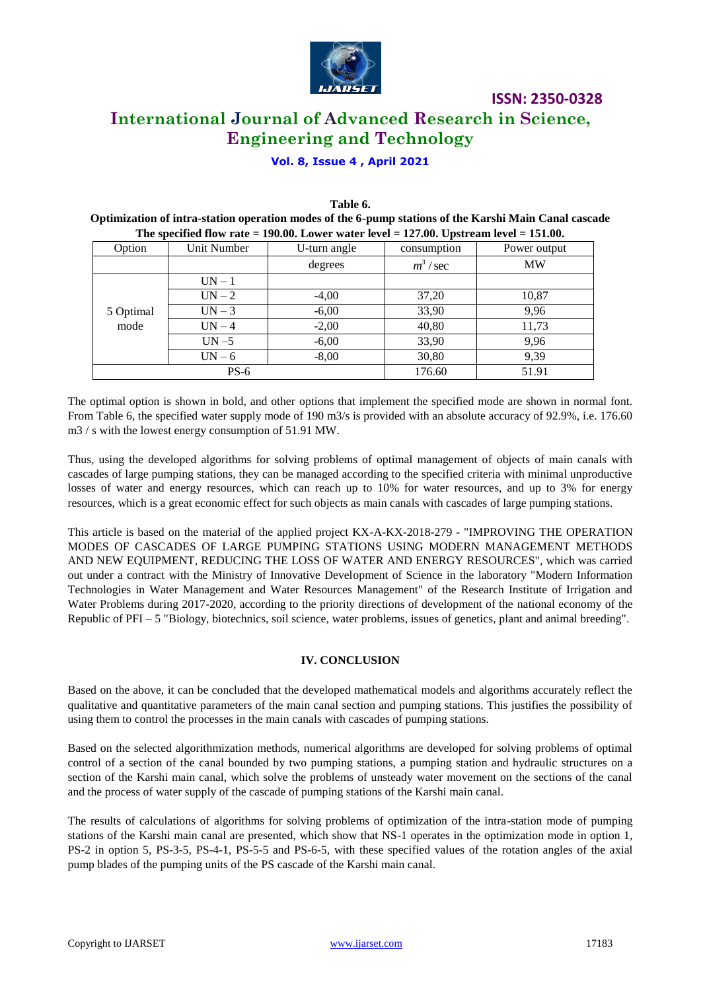

# **ISSN: 2350-0328 International Journal of Advanced Research in Science, Engineering and Technology**

#### **Vol. 8, Issue 4 , April 2021**

| Table 6.                                                                                              |
|-------------------------------------------------------------------------------------------------------|
| Optimization of intra-station operation modes of the 6-pump stations of the Karshi Main Canal cascade |
| The specified flow rate $= 190.00$ . Lower water level $= 127.00$ . Upstream level $= 151.00$ .       |

| --- - <b>-</b> - - |             |              |             |              |
|--------------------|-------------|--------------|-------------|--------------|
| Option             | Unit Number | U-turn angle | consumption | Power output |
|                    |             | degrees      | $m^3$ / sec | <b>MW</b>    |
|                    | $UN - 1$    |              |             |              |
| 5 Optimal<br>mode  | $UN - 2$    | $-4,00$      | 37,20       | 10,87        |
|                    | $UN-3$      | $-6,00$      | 33,90       | 9,96         |
|                    | $UN-4$      | $-2,00$      | 40,80       | 11,73        |
|                    | $UN - 5$    | $-6,00$      | 33,90       | 9,96         |
|                    | $UN - 6$    | $-8,00$      | 30,80       | 9,39         |
| $PS-6$             |             | 176.60       | 51.91       |              |

The optimal option is shown in bold, and other options that implement the specified mode are shown in normal font. From Table 6, the specified water supply mode of 190 m3/s is provided with an absolute accuracy of 92.9%, i.e. 176.60 m3 / s with the lowest energy consumption of 51.91 MW.

Thus, using the developed algorithms for solving problems of optimal management of objects of main canals with cascades of large pumping stations, they can be managed according to the specified criteria with minimal unproductive losses of water and energy resources, which can reach up to 10% for water resources, and up to 3% for energy resources, which is a great economic effect for such objects as main canals with cascades of large pumping stations.

This article is based on the material of the applied project KX-A-KX-2018-279 - "IMPROVING THE OPERATION MODES OF CASCADES OF LARGE PUMPING STATIONS USING MODERN MANAGEMENT METHODS AND NEW EQUIPMENT, REDUCING THE LOSS OF WATER AND ENERGY RESOURCES", which was carried out under a contract with the Ministry of Innovative Development of Science in the laboratory "Modern Information Technologies in Water Management and Water Resources Management" of the Research Institute of Irrigation and Water Problems during 2017-2020, according to the priority directions of development of the national economy of the Republic of PFI – 5 "Biology, biotechnics, soil science, water problems, issues of genetics, plant and animal breeding".

#### **IV. CONCLUSION**

Based on the above, it can be concluded that the developed mathematical models and algorithms accurately reflect the qualitative and quantitative parameters of the main canal section and pumping stations. This justifies the possibility of using them to control the processes in the main canals with cascades of pumping stations.

Based on the selected algorithmization methods, numerical algorithms are developed for solving problems of optimal control of a section of the canal bounded by two pumping stations, a pumping station and hydraulic structures on a section of the Karshi main canal, which solve the problems of unsteady water movement on the sections of the canal and the process of water supply of the cascade of pumping stations of the Karshi main canal.

The results of calculations of algorithms for solving problems of optimization of the intra-station mode of pumping stations of the Karshi main canal are presented, which show that NS-1 operates in the optimization mode in option 1, PS-2 in option 5, PS-3-5, PS-4-1, PS-5-5 and PS-6-5, with these specified values of the rotation angles of the axial pump blades of the pumping units of the PS cascade of the Karshi main canal.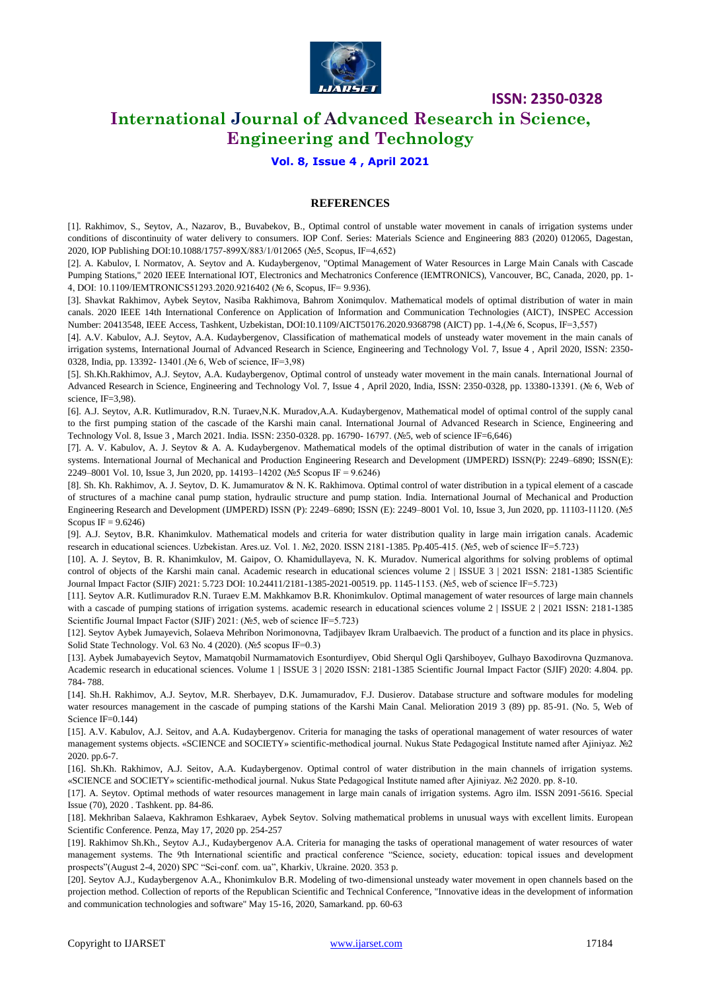

### **International Journal of Advanced Research in Science, Engineering and Technology**

#### **Vol. 8, Issue 4 , April 2021**

#### **REFERENCES**

[1]. [Rakhimov, S.,](https://www.scopus.com/authid/detail.uri?authorId=57219124931) [Seytov, A.,](https://www.scopus.com/authid/detail.uri?authorId=57219268429) [Nazarov, B.,](https://www.scopus.com/authid/detail.uri?authorId=57209305694) [Buvabekov, B.,](https://www.scopus.com/authid/detail.uri?authorId=57219269058) Optimal control of unstable water movement in canals of irrigation systems under conditions of discontinuity of water delivery to consumers. IOP Conf. Series: Materials Science and Engineering 883 (2020) 012065, Dagestan, 2020, IOP Publishing DOI:10.1088/1757-899X/883/1/012065 (№5, Scopus, IF=4,652)

[2]. A. Kabulov, I. Normatov, A. Seytov and A. Kudaybergenov, "Optimal Management of Water Resources in Large Main Canals with Cascade Pumping Stations," 2020 IEEE International IOT, Electronics and Mechatronics Conference (IEMTRONICS), Vancouver, BC, Canada, 2020, pp. 1- 4, DOI: 10.1109/IEMTRONICS51293.2020.9216402 (№ 6, Scopus, IF= [9.936\)](https://ieeexplore.ieee.org/Xplorehelp/Help_pub_journals.html#impact_factor).

[3]. Shavkat Rakhimov, Aybek Seytov, Nasiba Rakhimova, Bahrom Xonimqulov. [Mathematical models of optimal](https://ieeexplore.ieee.org/abstract/document/9368798/) distribution of water in main [canals.](https://ieeexplore.ieee.org/abstract/document/9368798/) [2020 IEEE 14th International Conference on Application of Information and Communication Technologies \(AICT\),](https://ieeexplore.ieee.org/xpl/conhome/9368512/proceeding) INSPEC Accession Number: 20413548, IEEE Access, Tashkent, Uzbekistan, DOI[:10.1109/AICT50176.2020.9368798](https://doi.org/10.1109/AICT50176.2020.9368798) (AICT) pp. 1-4,(№ 6, Scopus, IF=3,557)

[4]. А.V. Kabulov, A.J. Seytov, A.A. Kudaybergenov, [Classification of mathematical models of unsteady water movement in the main canals of](https://www.researchgate.net/profile/Adilbay_Kudaybergenov/publication/346568221_Classification_of_mathematical_models_of_unsteady_water_movement_in_the_main_canals_of_irrigation_systems/links/5fc78d4992851c00f8453c86/Classification-of-mathematical-models-of-unsteady-water-movement-in-the-main-canals-of-irrigation-systems.pdf)  [irrigation systems,](https://www.researchgate.net/profile/Adilbay_Kudaybergenov/publication/346568221_Classification_of_mathematical_models_of_unsteady_water_movement_in_the_main_canals_of_irrigation_systems/links/5fc78d4992851c00f8453c86/Classification-of-mathematical-models-of-unsteady-water-movement-in-the-main-canals-of-irrigation-systems.pdf) International Journal of Advanced Research in Science, Engineering and Technology Vol. 7, Issue 4 , April 2020, ISSN: 2350- 0328, India, pp. 13392- 13401.(№ 6, Web of science, IF=3,98)

[5]. Sh.Kh.Rakhimov, A.J. Seytov, A.A. Kudaybergenov, Optimal control of unsteady water movement in the main canals. International Journal of Advanced Research in Science, Engineering and Technology Vol. 7, Issue 4 , April 2020, India, ISSN: 2350-0328, pp. 13380-13391. (№ 6, Web of science, IF=3,98).

[6]. A.J. Seytov, A.R. Kutlimuradov, R.N. Turaev,N.K. Muradov,A.A. Kudaybergenov, Mathematical model of optimal control of the supply canal to the first pumping station of the cascade of the Karshi main canal. International Journal of Advanced Research in Science, Engineering and Technology Vol. 8, Issue 3 , March 2021. India. ISSN: 2350-0328. pp. 16790- 16797. (№5, web of science IF=6,646)

[7]. A. V. Kabulov, A. J. Seytov & A. A. Kudaybergenov. Mathematical models of the optimal distribution of water in the canals of irrigation systems. International Journal of Mechanical and Production Engineering Research and Development (IJMPERD) ISSN(P): 2249–6890; ISSN(E): 2249–8001 Vol. 10, Issue 3, Jun 2020, pp. 14193–14202 (№5 Scopus IF = 9.6246)

[8]. Sh. Kh. Rakhimov, A. J. Seytov, D. K. Jumamuratov & N. K. Rakhimova. Optimal control of water distribution in a typical element of a cascade of structures of a machine canal pump station, hydraulic structure and pump station. India. International Journal of Mechanical and Production Engineering Research and Development (IJMPERD) ISSN (P): 2249–6890; ISSN (E): 2249–8001 Vol. 10, Issue 3, Jun 2020, pp. 11103-11120. (№5 Scopus IF =  $9.6246$ )

[9]. A.J. Seytov, B.R. Khanimkulov. [Mathematical models and criteria for water distribution quality in large main irrigation canals.](https://cyberleninka.ru/article/n/mathematical-models-and-criteria-for-water-distribution-quality-in-large-main-irrigation-canals) Academic research in educational sciences. Uzbekistan. Ares.uz. Vol. 1. №2, 2020. ISSN 2181-1385. Pp.405-415. (№5, web of science IF=5.723)

[10]. A. J. Seytov, B. R. Khanimkulov, M. Gaipov, O. Khamidullayeva, N. K. Muradov. Numerical algorithms for solving problems of optimal control of objects of the Karshi main canal. Academic research in educational sciences volume 2 | ISSUE 3 | 2021 ISSN: 2181-1385 Scientific Journal Impact Factor (SJIF) 2021: 5.723 DOI: 10.24411/2181-1385-2021-00519. pp. 1145-1153. (№5, web of science IF=5.723)

[11]. Seytov A.R. Kutlimuradov R.N. Turaev E.M. Makhkamov B.R. Khonimkulov. Optimal management of water resources of large main channels with a cascade of pumping stations of irrigation systems. academic research in educational sciences volume 2 | ISSUE 2 | 2021 ISSN: 2181-1385 Scientific Journal Impact Factor (SJIF) 2021: (№5, web of science IF=5.723)

[12]. Seytov Aybek Jumayevich, Solaeva Mehribon Norimonovna, Tadjibayev Ikram Uralbaevich[. The product of a function and its place in physics.](http://www.solidstatetechnology.us/index.php/JSST/article/view/1308)  [Solid State Technology.](http://www.solidstatetechnology.us/index.php/index) [Vol. 63 No. 4 \(2020\).](http://www.solidstatetechnology.us/index.php/JSST/issue/view/47) (№5 scopus IF=0.3)

[13]. Aybek Jumabayevich Seytov, Mamatqobil Nurmamatovich Esonturdiyev, Obid Sherqul Ogli Qarshiboyev, Gulhayo Baxodirovna Quzmanova. Academic research in educational sciences. Volume 1 | ISSUE 3 | 2020 ISSN: 2181-1385 Scientific Journal Impact Factor (SJIF) 2020: 4.804. pp. 784- 788.

[14]. Sh.H. Rakhimov, A.J. Seytov, M.R. Sherbayev, D.K. Jumamuradov, F.J. Dusierov. Database structure and software modules for modeling water resources management in the cascade of pumping stations of the Karshi Main Canal. Melioration 2019 3 (89) pp. 85-91. (No. 5, Web of Science IF=0.144)

[15]. A.V. Kabulov, A.J. Seitov, and A.A. Kudaybergenov. Criteria for managing the tasks of operational management of water resources of water management systems objects. «SCIENCE and SOCIETY» scientific-methodical journal. Nukus State Pedagogical Institute named after Ajiniyaz. №2 2020. pp.6-7.

[16]. Sh.Kh. Rakhimov, A.J. Seitov, A.A. Kudaybergenov. Optimal control of water distribution in the main channels of irrigation systems. «SCIENCE and SOCIETY» scientific-methodical journal. Nukus State Pedagogical Institute named after Ajiniyaz. №2 2020. pp. 8-10.

[17]. A. Seytov. Optimal methods of water resources management in large main canals of irrigation systems. Agro ilm. ISSN 2091-5616. Special Issue (70), 2020 . Tashkent. pp. 84-86.

[18]. Mekhriban Salaeva, Kakhramon Eshkaraev, Aybek Seytov. [Solving mathematical problems in unusual ways with excellent limits.](https://elibrary.ru/item.asp?id=42841941) European Scientific Conference. Penza, May 17, 2020 pp. 254-257

[19]. Rakhimov Sh.Kh., Seytov A.J., Kudaybergenov A.A. Criteria for managing the tasks of operational management of water resources of water management systems. The 9th International scientific and practical conference "Science, society, education: topical issues and development prospects"(August 2-4, 2020) SPC "Sci-conf. com. ua", Kharkiv, Ukraine. 2020. 353 p.

[20]. Seytov A.J., Kudaybergenov A.A., Khonimkulov B.R. Modeling of two-dimensional unsteady water movement in open channels based on the projection method. Collection of reports of the Republican Scientific and Technical Conference, "Innovative ideas in the development of information and communication technologies and software" May 15-16, 2020, Samarkand. pp. 60-63